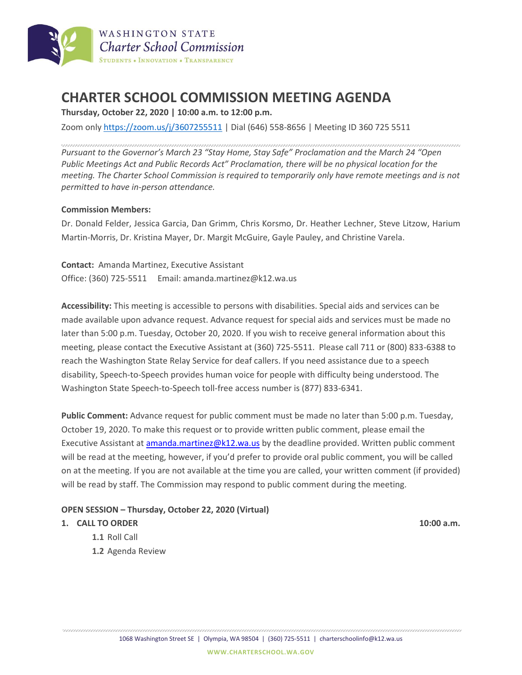

# **CHARTER SCHOOL COMMISSION MEETING AGENDA**

**Thursday, October 22, 2020 | 10:00 a.m. to 12:00 p.m.**

Zoom only <https://zoom.us/j/3607255511> | Dial (646) 558-8656 | Meeting ID 360 725 5511

*Pursuant to the Governor's March 23 "Stay Home, Stay Safe" Proclamation and the March 24 "Open Public Meetings Act and Public Records Act" Proclamation, there will be no physical location for the meeting. The Charter School Commission is required to temporarily only have remote meetings and is not permitted to have in-person attendance.*

#### **Commission Members:**

Dr. Donald Felder, Jessica Garcia, Dan Grimm, Chris Korsmo, Dr. Heather Lechner, Steve Litzow, Harium Martin-Morris, Dr. Kristina Mayer, Dr. Margit McGuire, Gayle Pauley, and Christine Varela.

**Contact:** Amanda Martinez, Executive Assistant Office: (360) 725-5511 Email: amanda.martinez@k12.wa.us

**Accessibility:** This meeting is accessible to persons with disabilities. Special aids and services can be made available upon advance request. Advance request for special aids and services must be made no later than 5:00 p.m. Tuesday, October 20, 2020. If you wish to receive general information about this meeting, please contact the Executive Assistant at (360) 725-5511. Please call 711 or (800) 833-6388 to reach the Washington State Relay Service for deaf callers. If you need assistance due to a speech disability, Speech-to-Speech provides human voice for people with difficulty being understood. The Washington State Speech-to-Speech toll-free access number is (877) 833-6341.

**Public Comment:** Advance request for public comment must be made no later than 5:00 p.m. Tuesday, October 19, 2020. To make this request or to provide written public comment, please email the Executive Assistant at [amanda.martinez@k12.wa.us](mailto:amanda.martinez@k12.wa.us) by the deadline provided. Written public comment will be read at the meeting, however, if you'd prefer to provide oral public comment, you will be called on at the meeting. If you are not available at the time you are called, your written comment (if provided) will be read by staff. The Commission may respond to public comment during the meeting.

#### **OPEN SESSION – Thursday, October 22, 2020 (Virtual)**

#### **1. CALL TO ORDER 10:00 a.m.**

- **1.1** Roll Call
- **1.2** Agenda Review